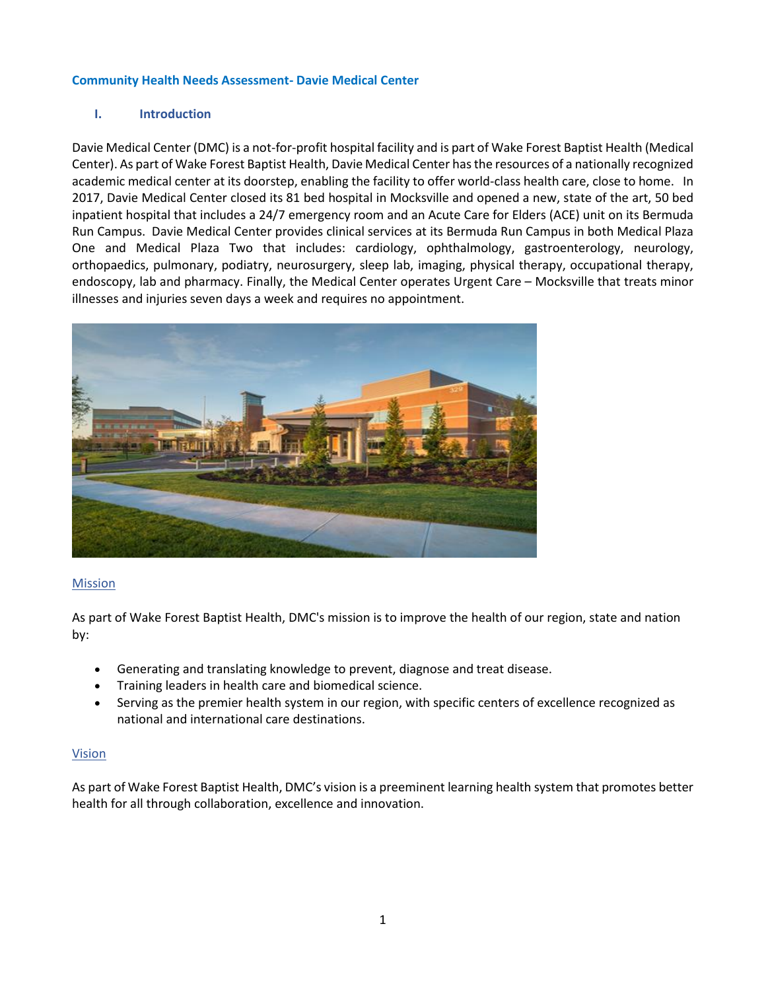### **Community Health Needs Assessment- Davie Medical Center**

## **I. Introduction**

Davie Medical Center (DMC) is a not-for-profit hospital facility and is part of Wake Forest Baptist Health (Medical Center). As part of Wake Forest Baptist Health, Davie Medical Center has the resources of a nationally recognized academic medical center at its doorstep, enabling the facility to offer world-class health care, close to home. In 2017, Davie Medical Center closed its 81 bed hospital in Mocksville and opened a new, state of the art, 50 bed inpatient hospital that includes a 24/7 emergency room and an Acute Care for Elders (ACE) unit on its Bermuda Run Campus. Davie Medical Center provides clinical services at its Bermuda Run Campus in both Medical Plaza One and Medical Plaza Two that includes: cardiology, ophthalmology, gastroenterology, neurology, orthopaedics, pulmonary, podiatry, neurosurgery, sleep lab, imaging, physical therapy, occupational therapy, endoscopy, lab and pharmacy. Finally, the Medical Center operates Urgent Care – Mocksville that treats minor illnesses and injuries seven days a week and requires no appointment.



#### **Mission**

As part of Wake Forest Baptist Health, DMC's mission is to improve the health of our region, state and nation by:

- Generating and translating knowledge to prevent, diagnose and treat disease.
- Training leaders in health care and biomedical science.
- Serving as the premier health system in our region, with specific centers of excellence recognized as national and international care destinations.

#### Vision

As part of Wake Forest Baptist Health, DMC's vision is a preeminent learning health system that promotes better health for all through collaboration, excellence and innovation.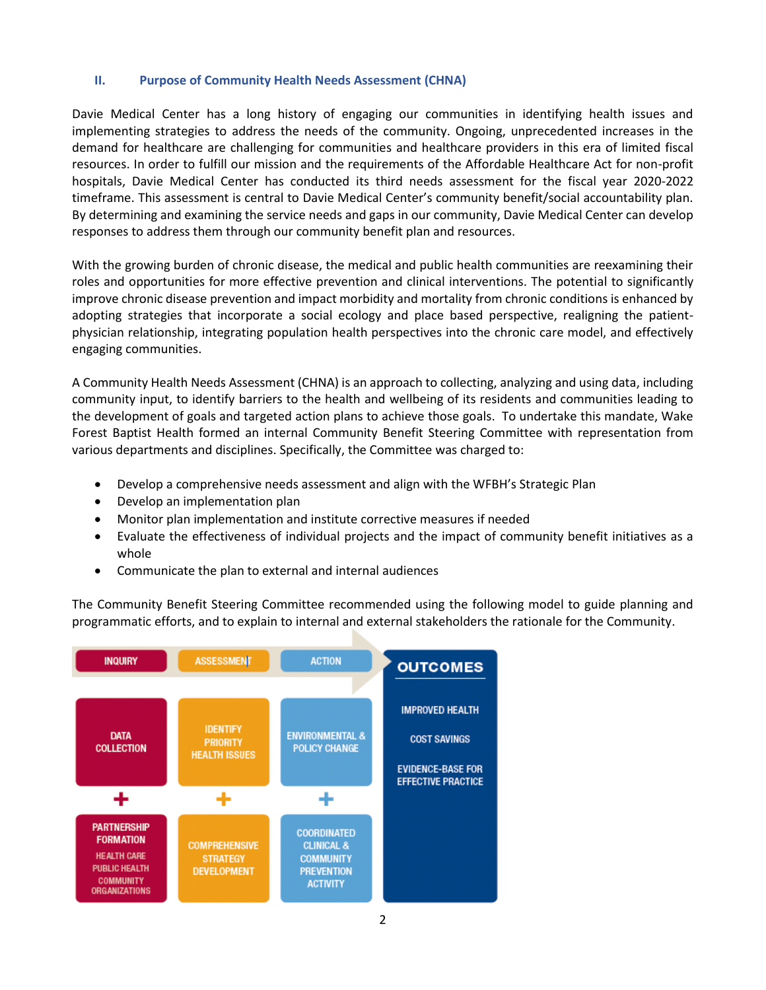#### **II. Purpose of Community Health Needs Assessment (CHNA)**

Davie Medical Center has a long history of engaging our communities in identifying health issues and implementing strategies to address the needs of the community. Ongoing, unprecedented increases in the demand for healthcare are challenging for communities and healthcare providers in this era of limited fiscal resources. In order to fulfill our mission and the requirements of the Affordable Healthcare Act for non-profit hospitals, Davie Medical Center has conducted its third needs assessment for the fiscal year 2020-2022 timeframe. This assessment is central to Davie Medical Center's community benefit/social accountability plan. By determining and examining the service needs and gaps in our community, Davie Medical Center can develop responses to address them through our community benefit plan and resources.

With the growing burden of chronic disease, the medical and public health communities are reexamining their roles and opportunities for more effective prevention and clinical interventions. The potential to significantly improve chronic disease prevention and impact morbidity and mortality from chronic conditions is enhanced by adopting strategies that incorporate a social ecology and place based perspective, realigning the patientphysician relationship, integrating population health perspectives into the chronic care model, and effectively engaging communities.

A Community Health Needs Assessment (CHNA) is an approach to collecting, analyzing and using data, including community input, to identify barriers to the health and wellbeing of its residents and communities leading to the development of goals and targeted action plans to achieve those goals. To undertake this mandate, Wake Forest Baptist Health formed an internal Community Benefit Steering Committee with representation from various departments and disciplines. Specifically, the Committee was charged to:

- Develop a comprehensive needs assessment and align with the WFBH's Strategic Plan
- Develop an implementation plan
- Monitor plan implementation and institute corrective measures if needed
- Evaluate the effectiveness of individual projects and the impact of community benefit initiatives as a whole
- Communicate the plan to external and internal audiences

The Community Benefit Steering Committee recommended using the following model to guide planning and programmatic efforts, and to explain to internal and external stakeholders the rationale for the Community.

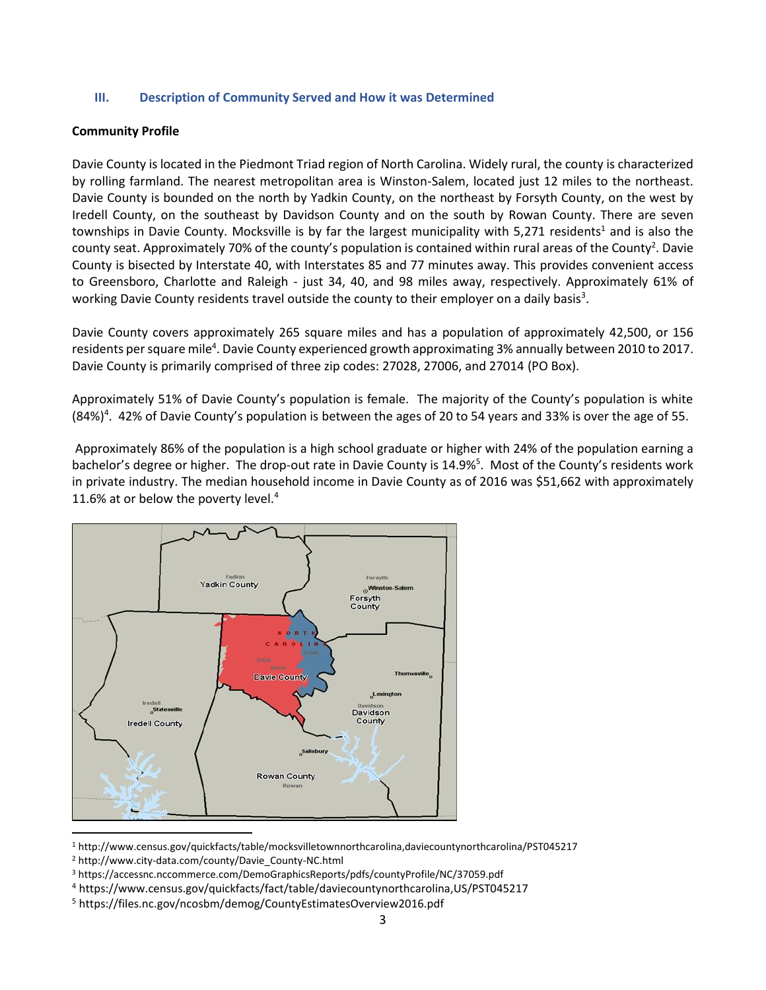### **III. Description of Community Served and How it was Determined**

### **Community Profile**

Davie County is located in the Piedmont Triad region of North Carolina. Widely rural, the county is characterized by rolling farmland. The nearest metropolitan area is Winston-Salem, located just 12 miles to the northeast. Davie County is bounded on the north by Yadkin County, on the northeast by Forsyth County, on the west by Iredell County, on the southeast by Davidson County and on the south by Rowan County. There are seven townships in Davie County. Mocksville is by far the largest municipality with 5,271 residents<sup>1</sup> and is also the county seat. Approximately 70% of the county's population is contained within rural areas of the County<sup>2</sup>. Davie County is bisected by Interstate 40, with Interstates 85 and 77 minutes away. This provides convenient access to Greensboro, Charlotte and Raleigh - just 34, 40, and 98 miles away, respectively. Approximately 61% of working Davie County residents travel outside the county to their employer on a daily basis<sup>3</sup>.

Davie County covers approximately 265 square miles and has a population of approximately 42,500, or 156 residents per square mile<sup>4</sup>. Davie County experienced growth approximating 3% annually between 2010 to 2017. Davie County is primarily comprised of three zip codes: 27028, 27006, and 27014 (PO Box).

Approximately 51% of Davie County's population is female. The majority of the County's population is white (84%)<sup>4</sup>. 42% of Davie County's population is between the ages of 20 to 54 years and 33% is over the age of 55.

Approximately 86% of the population is a high school graduate or higher with 24% of the population earning a bachelor's degree or higher. The drop-out rate in Davie County is 14.9%<sup>5</sup>. Most of the County's residents work in private industry. The median household income in Davie County as of 2016 was \$51,662 with approximately 11.6% at or below the poverty level.<sup>4</sup>



<sup>1</sup> http://www.census.gov/quickfacts/table/mocksvilletownnorthcarolina,daviecountynorthcarolina/PST045217

<sup>2</sup> http://www.city-data.com/county/Davie\_County-NC.html

<sup>3</sup> https://accessnc.nccommerce.com/DemoGraphicsReports/pdfs/countyProfile/NC/37059.pdf

<sup>4</sup> https://www.census.gov/quickfacts/fact/table/daviecountynorthcarolina,US/PST045217

<sup>5</sup> https://files.nc.gov/ncosbm/demog/CountyEstimatesOverview2016.pdf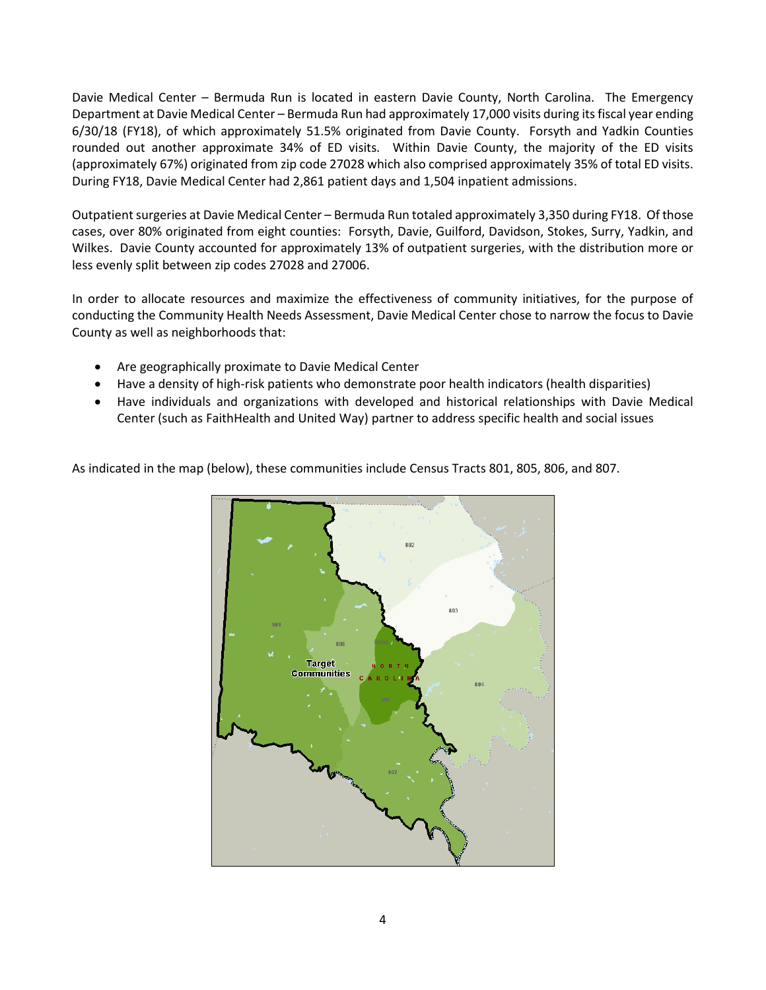Davie Medical Center – Bermuda Run is located in eastern Davie County, North Carolina. The Emergency Department at Davie Medical Center – Bermuda Run had approximately 17,000 visits during its fiscal year ending 6/30/18 (FY18), of which approximately 51.5% originated from Davie County. Forsyth and Yadkin Counties rounded out another approximate 34% of ED visits. Within Davie County, the majority of the ED visits (approximately 67%) originated from zip code 27028 which also comprised approximately 35% of total ED visits. During FY18, Davie Medical Center had 2,861 patient days and 1,504 inpatient admissions.

Outpatient surgeries at Davie Medical Center – Bermuda Run totaled approximately 3,350 during FY18. Of those cases, over 80% originated from eight counties: Forsyth, Davie, Guilford, Davidson, Stokes, Surry, Yadkin, and Wilkes. Davie County accounted for approximately 13% of outpatient surgeries, with the distribution more or less evenly split between zip codes 27028 and 27006.

In order to allocate resources and maximize the effectiveness of community initiatives, for the purpose of conducting the Community Health Needs Assessment, Davie Medical Center chose to narrow the focus to Davie County as well as neighborhoods that:

- Are geographically proximate to Davie Medical Center
- Have a density of high-risk patients who demonstrate poor health indicators (health disparities)
- Have individuals and organizations with developed and historical relationships with Davie Medical Center (such as FaithHealth and United Way) partner to address specific health and social issues

As indicated in the map (below), these communities include Census Tracts 801, 805, 806, and 807.

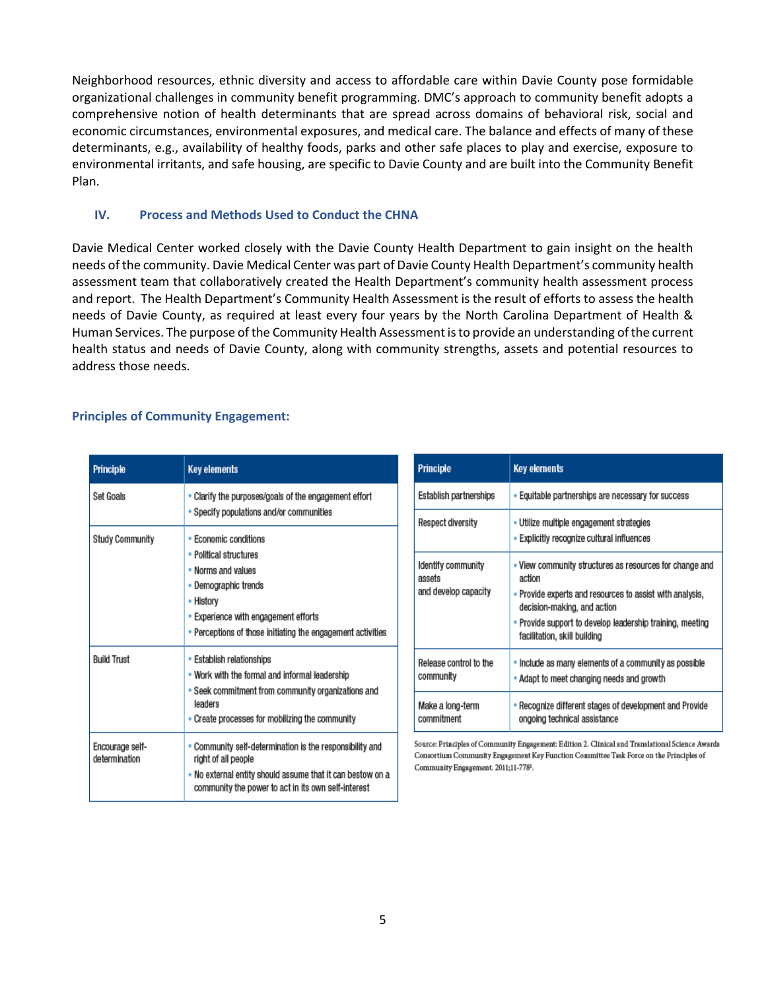Neighborhood resources, ethnic diversity and access to affordable care within Davie County pose formidable organizational challenges in community benefit programming. DMC's approach to community benefit adopts a comprehensive notion of health determinants that are spread across domains of behavioral risk, social and economic circumstances, environmental exposures, and medical care. The balance and effects of many of these determinants, e.g., availability of healthy foods, parks and other safe places to play and exercise, exposure to environmental irritants, and safe housing, are specific to Davie County and are built into the Community Benefit Plan.

#### **IV. Process and Methods Used to Conduct the CHNA**

Davie Medical Center worked closely with the Davie County Health Department to gain insight on the health needs of the community. Davie Medical Center was part of Davie County Health Department's community health assessment team that collaboratively created the Health Department's community health assessment process and report. The Health Department's Community Health Assessment is the result of efforts to assess the health needs of Davie County, as required at least every four years by the North Carolina Department of Health & Human Services. The purpose of the Community Health Assessment is to provide an understanding of the current health status and needs of Davie County, along with community strengths, assets and potential resources to address those needs.

#### **Principles of Community Engagement:**

| <b>Principle</b>                 | <b>Key elements</b>                                                                                                                                                                                               |
|----------------------------------|-------------------------------------------------------------------------------------------------------------------------------------------------------------------------------------------------------------------|
| Set Goals                        | . Clarify the purposes/goals of the engagement effort<br>. Specify populations and/or communities                                                                                                                 |
| <b>Study Community</b>           | • Economic conditions<br>• Political structures<br>. Norms and values<br>• Demographic trends<br>• History<br>• Experience with engagement efforts<br>• Perceptions of those initiating the engagement activities |
| <b>Build Trust</b>               | • Establish relationships<br>. Work with the formal and informal leadership<br>• Seek commitment from community organizations and<br>leaders<br>• Create processes for mobilizing the community                   |
| Encourage self-<br>determination | Community self-determination is the responsibility and<br>right of all people<br>. No external entity should assume that it can bestow on a<br>community the power to act in its own self-interest                |

| <b>Principle</b>                                     | <b>Key elements</b>                                                                                                                                                                                                                                       |
|------------------------------------------------------|-----------------------------------------------------------------------------------------------------------------------------------------------------------------------------------------------------------------------------------------------------------|
| Establish partnerships                               | . Equitable partnerships are necessary for success                                                                                                                                                                                                        |
| <b>Respect diversity</b>                             | • Utilize multiple engagement strategies<br>• Explicitly recognize cultural influences                                                                                                                                                                    |
| Identify community<br>assets<br>and develop capacity | . View community structures as resources for change and<br>action<br>• Provide experts and resources to assist with analysis,<br>decision-making, and action<br>• Provide support to develop leadership training, meeting<br>facilitation, skill building |
| Release control to the<br>community                  | . Include as many elements of a community as possible<br>• Adapt to meet changing needs and growth                                                                                                                                                        |
| Make a long-term<br>commitment                       | Recognize different stages of development and Provide<br>ongoing technical assistance                                                                                                                                                                     |

Source: Principles of Community Engagement: Edition 2. Clinical and Translational Science Awards Consortium Community Engagement Key Function Committee Task Force on the Principles of Community Engagement. 2011;11-7782.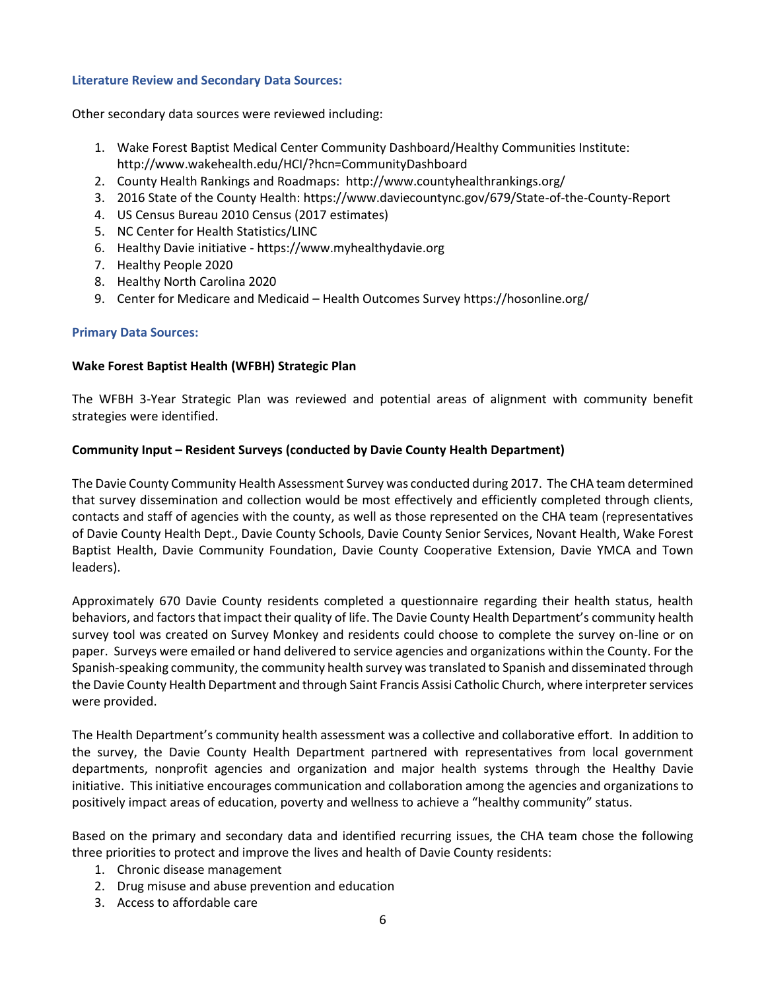#### **Literature Review and Secondary Data Sources:**

Other secondary data sources were reviewed including:

- 1. Wake Forest Baptist Medical Center Community Dashboard/Healthy Communities Institute: <http://www.wakehealth.edu/HCI/?hcn=CommunityDashboard>
- 2. County Health Rankings and Roadmaps:<http://www.countyhealthrankings.org/>
- 3. 2016 State of the County Health: https://www.daviecountync.gov/679/State-of-the-County-Report
- 4. US Census Bureau 2010 Census (2017 estimates)
- 5. NC Center for Health Statistics/LINC
- 6. Healthy Davie initiative https://www.myhealthydavie.org
- 7. Healthy People 2020
- 8. Healthy North Carolina 2020
- 9. Center for Medicare and Medicaid Health Outcomes Survey https://hosonline.org/

#### **Primary Data Sources:**

#### **Wake Forest Baptist Health (WFBH) Strategic Plan**

The WFBH 3-Year Strategic Plan was reviewed and potential areas of alignment with community benefit strategies were identified.

## **Community Input – Resident Surveys (conducted by Davie County Health Department)**

The Davie County Community Health Assessment Survey was conducted during 2017. The CHA team determined that survey dissemination and collection would be most effectively and efficiently completed through clients, contacts and staff of agencies with the county, as well as those represented on the CHA team (representatives of Davie County Health Dept., Davie County Schools, Davie County Senior Services, Novant Health, Wake Forest Baptist Health, Davie Community Foundation, Davie County Cooperative Extension, Davie YMCA and Town leaders).

Approximately 670 Davie County residents completed a questionnaire regarding their health status, health behaviors, and factors that impact their quality of life. The Davie County Health Department's community health survey tool was created on Survey Monkey and residents could choose to complete the survey on-line or on paper. Surveys were emailed or hand delivered to service agencies and organizations within the County. For the Spanish-speaking community, the community health survey was translated to Spanish and disseminated through the Davie County Health Department and through Saint Francis Assisi Catholic Church, where interpreter services were provided.

The Health Department's community health assessment was a collective and collaborative effort. In addition to the survey, the Davie County Health Department partnered with representatives from local government departments, nonprofit agencies and organization and major health systems through the Healthy Davie initiative. This initiative encourages communication and collaboration among the agencies and organizations to positively impact areas of education, poverty and wellness to achieve a "healthy community" status.

Based on the primary and secondary data and identified recurring issues, the CHA team chose the following three priorities to protect and improve the lives and health of Davie County residents:

- 1. Chronic disease management
- 2. Drug misuse and abuse prevention and education
- 3. Access to affordable care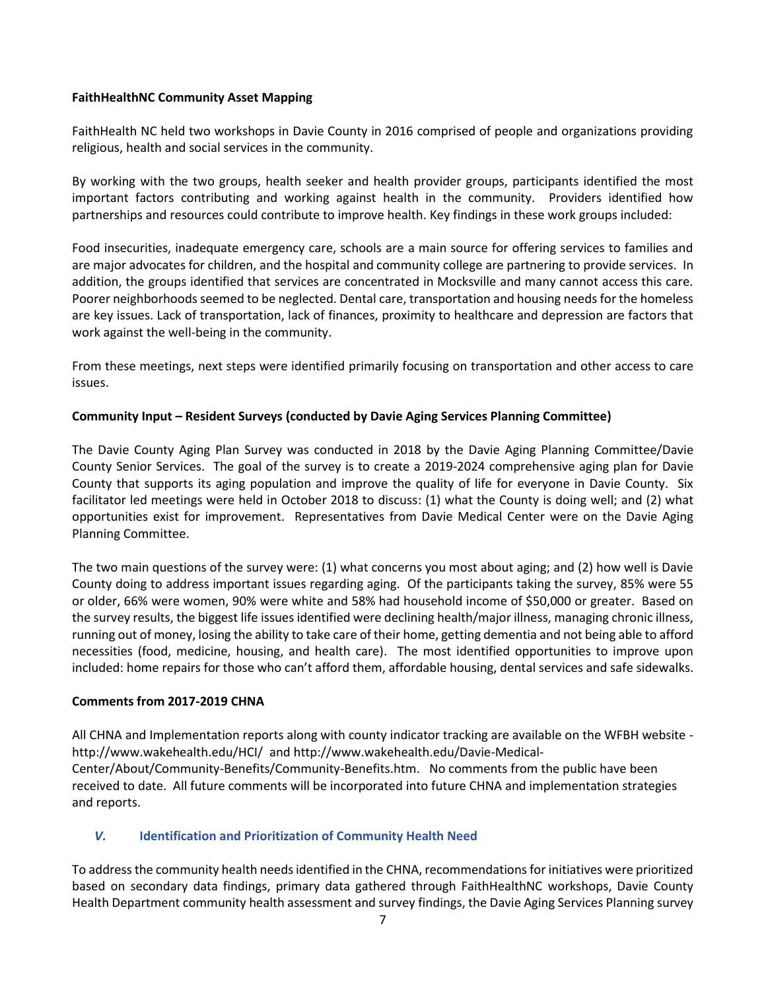## **FaithHealthNC Community Asset Mapping**

FaithHealth NC held two workshops in Davie County in 2016 comprised of people and organizations providing religious, health and social services in the community.

By working with the two groups, health seeker and health provider groups, participants identified the most important factors contributing and working against health in the community. Providers identified how partnerships and resources could contribute to improve health. Key findings in these work groups included:

Food insecurities, inadequate emergency care, schools are a main source for offering services to families and are major advocates for children, and the hospital and community college are partnering to provide services. In addition, the groups identified that services are concentrated in Mocksville and many cannot access this care. Poorer neighborhoods seemed to be neglected. Dental care, transportation and housing needs for the homeless are key issues. Lack of transportation, lack of finances, proximity to healthcare and depression are factors that work against the well-being in the community.

From these meetings, next steps were identified primarily focusing on transportation and other access to care issues.

## **Community Input – Resident Surveys (conducted by Davie Aging Services Planning Committee)**

The Davie County Aging Plan Survey was conducted in 2018 by the Davie Aging Planning Committee/Davie County Senior Services. The goal of the survey is to create a 2019-2024 comprehensive aging plan for Davie County that supports its aging population and improve the quality of life for everyone in Davie County. Six facilitator led meetings were held in October 2018 to discuss: (1) what the County is doing well; and (2) what opportunities exist for improvement. Representatives from Davie Medical Center were on the Davie Aging Planning Committee.

The two main questions of the survey were: (1) what concerns you most about aging; and (2) how well is Davie County doing to address important issues regarding aging. Of the participants taking the survey, 85% were 55 or older, 66% were women, 90% were white and 58% had household income of \$50,000 or greater. Based on the survey results, the biggest life issues identified were declining health/major illness, managing chronic illness, running out of money, losing the ability to take care of their home, getting dementia and not being able to afford necessities (food, medicine, housing, and health care). The most identified opportunities to improve upon included: home repairs for those who can't afford them, affordable housing, dental services and safe sidewalks.

## **Comments from 2017-2019 CHNA**

All CHNA and Implementation reports along with county indicator tracking are available on the WFBH website <http://www.wakehealth.edu/HCI/>and http://www.wakehealth.edu/Davie-Medical-Center/About/Community-Benefits/Community-Benefits.htm. No comments from the public have been received to date. All future comments will be incorporated into future CHNA and implementation strategies and reports.

## *V.* **Identification and Prioritization of Community Health Need**

To address the community health needs identified in the CHNA, recommendations for initiatives were prioritized based on secondary data findings, primary data gathered through FaithHealthNC workshops, Davie County Health Department community health assessment and survey findings, the Davie Aging Services Planning survey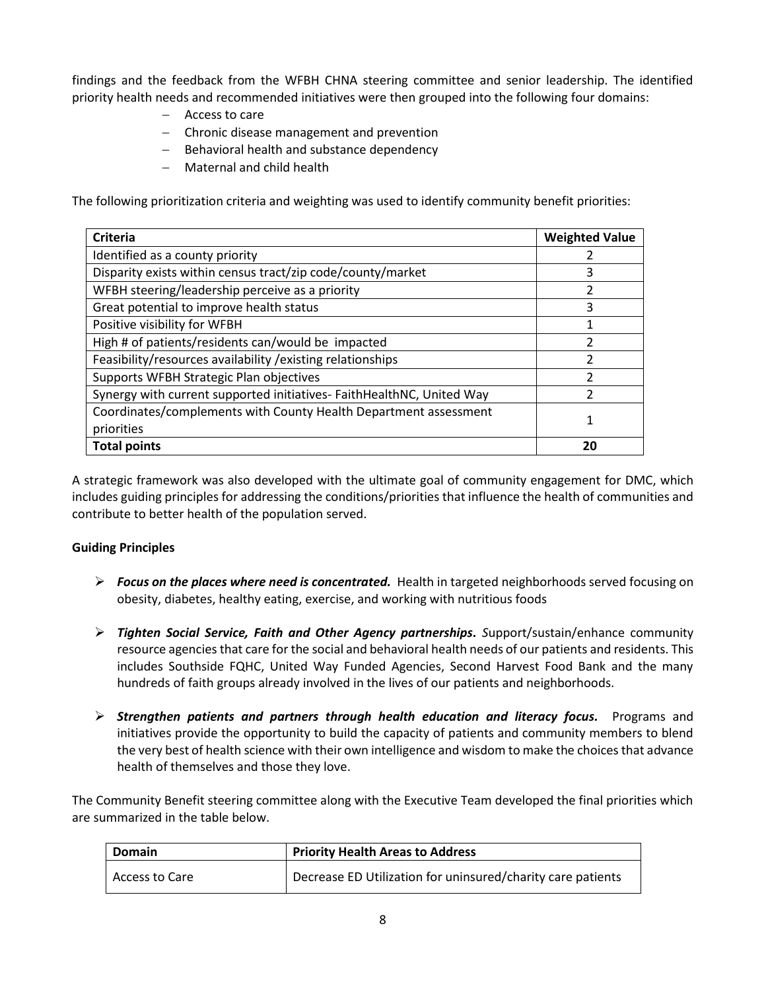findings and the feedback from the WFBH CHNA steering committee and senior leadership. The identified priority health needs and recommended initiatives were then grouped into the following four domains:

- Access to care
- Chronic disease management and prevention
- Behavioral health and substance dependency
- Maternal and child health

The following prioritization criteria and weighting was used to identify community benefit priorities:

| <b>Criteria</b>                                                       | <b>Weighted Value</b> |
|-----------------------------------------------------------------------|-----------------------|
| Identified as a county priority                                       |                       |
| Disparity exists within census tract/zip code/county/market           | 3                     |
| WFBH steering/leadership perceive as a priority                       | 2                     |
| Great potential to improve health status                              | 3                     |
| Positive visibility for WFBH                                          | 1                     |
| High # of patients/residents can/would be impacted                    | 2                     |
| Feasibility/resources availability / existing relationships           | っ                     |
| Supports WFBH Strategic Plan objectives                               | っ                     |
| Synergy with current supported initiatives- FaithHealthNC, United Way | フ                     |
| Coordinates/complements with County Health Department assessment      | 1                     |
| priorities                                                            |                       |
| <b>Total points</b>                                                   | 20                    |

A strategic framework was also developed with the ultimate goal of community engagement for DMC, which includes guiding principles for addressing the conditions/priorities that influence the health of communities and contribute to better health of the population served.

## **Guiding Principles**

- *Focus on the places where need is concentrated.* Health in targeted neighborhoods served focusing on obesity, diabetes, healthy eating, exercise, and working with nutritious foods
- *Tighten Social Service, Faith and Other Agency partnerships. S*upport/sustain/enhance community resource agencies that care for the social and behavioral health needs of our patients and residents. This includes Southside FQHC, United Way Funded Agencies, Second Harvest Food Bank and the many hundreds of faith groups already involved in the lives of our patients and neighborhoods.
- *Strengthen patients and partners through health education and literacy focus.* Programs and initiatives provide the opportunity to build the capacity of patients and community members to blend the very best of health science with their own intelligence and wisdom to make the choices that advance health of themselves and those they love.

The Community Benefit steering committee along with the Executive Team developed the final priorities which are summarized in the table below.

| Domain         | <b>Priority Health Areas to Address</b>                     |  |
|----------------|-------------------------------------------------------------|--|
| Access to Care | Decrease ED Utilization for uninsured/charity care patients |  |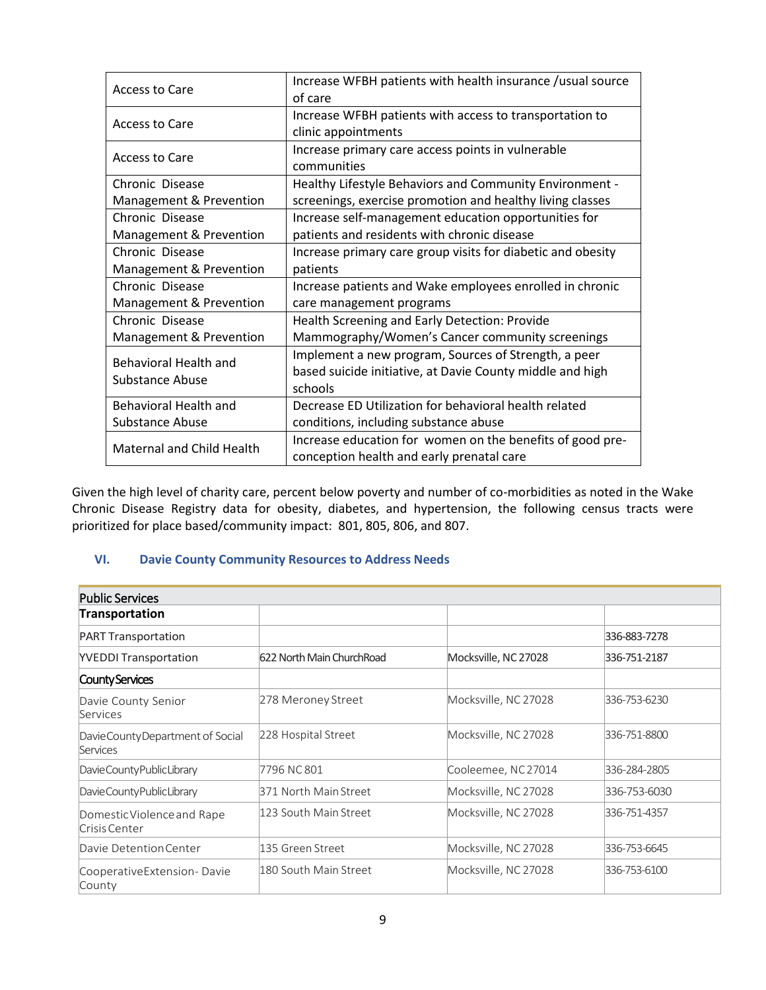| Access to Care                   | Increase WFBH patients with health insurance /usual source  |  |  |
|----------------------------------|-------------------------------------------------------------|--|--|
|                                  | of care                                                     |  |  |
|                                  | Increase WFBH patients with access to transportation to     |  |  |
| Access to Care                   | clinic appointments                                         |  |  |
|                                  | Increase primary care access points in vulnerable           |  |  |
| Access to Care                   | communities                                                 |  |  |
| Chronic Disease                  | Healthy Lifestyle Behaviors and Community Environment -     |  |  |
| Management & Prevention          | screenings, exercise promotion and healthy living classes   |  |  |
| Chronic Disease                  | Increase self-management education opportunities for        |  |  |
| Management & Prevention          | patients and residents with chronic disease                 |  |  |
| Chronic Disease                  | Increase primary care group visits for diabetic and obesity |  |  |
| Management & Prevention          | patients                                                    |  |  |
| Chronic Disease                  | Increase patients and Wake employees enrolled in chronic    |  |  |
| Management & Prevention          | care management programs                                    |  |  |
| Chronic Disease                  | Health Screening and Early Detection: Provide               |  |  |
| Management & Prevention          | Mammography/Women's Cancer community screenings             |  |  |
| <b>Behavioral Health and</b>     | Implement a new program, Sources of Strength, a peer        |  |  |
| Substance Abuse                  | based suicide initiative, at Davie County middle and high   |  |  |
|                                  | schools                                                     |  |  |
| <b>Behavioral Health and</b>     | Decrease ED Utilization for behavioral health related       |  |  |
| <b>Substance Abuse</b>           | conditions, including substance abuse                       |  |  |
| <b>Maternal and Child Health</b> | Increase education for women on the benefits of good pre-   |  |  |
|                                  | conception health and early prenatal care                   |  |  |

Given the high level of charity care, percent below poverty and number of co-morbidities as noted in the Wake Chronic Disease Registry data for obesity, diabetes, and hypertension, the following census tracts were prioritized for place based/community impact: 801, 805, 806, and 807.

## **VI. Davie County Community Resources to Address Needs**

| <b>Public Services</b>                      |                           |                      |              |
|---------------------------------------------|---------------------------|----------------------|--------------|
| Transportation                              |                           |                      |              |
| <b>PART Transportation</b>                  |                           |                      | 336-883-7278 |
| <b>YVEDDI Transportation</b>                | 622 North Main ChurchRoad | Mocksville, NC 27028 | 336-751-2187 |
| County Services                             |                           |                      |              |
| Davie County Senior<br>Services             | 278 Meroney Street        | Mocksville, NC 27028 | 336-753-6230 |
| DavieCountyDepartment of Social<br>Services | 228 Hospital Street       | Mocksville, NC 27028 | 336-751-8800 |
| Davie County Public Library                 | 7796 NC 801               | Cooleemee, NC 27014  | 336-284-2805 |
| Davie County Public Library                 | 371 North Main Street     | Mocksville, NC 27028 | 336-753-6030 |
| Domestic Violence and Rape<br>Crisis Center | 123 South Main Street     | Mocksville, NC 27028 | 336-751-4357 |
| Davie Detention Center                      | 135 Green Street          | Mocksville, NC 27028 | 336-753-6645 |
| CooperativeExtension-Davie<br>County        | 180 South Main Street     | Mocksville, NC 27028 | 336-753-6100 |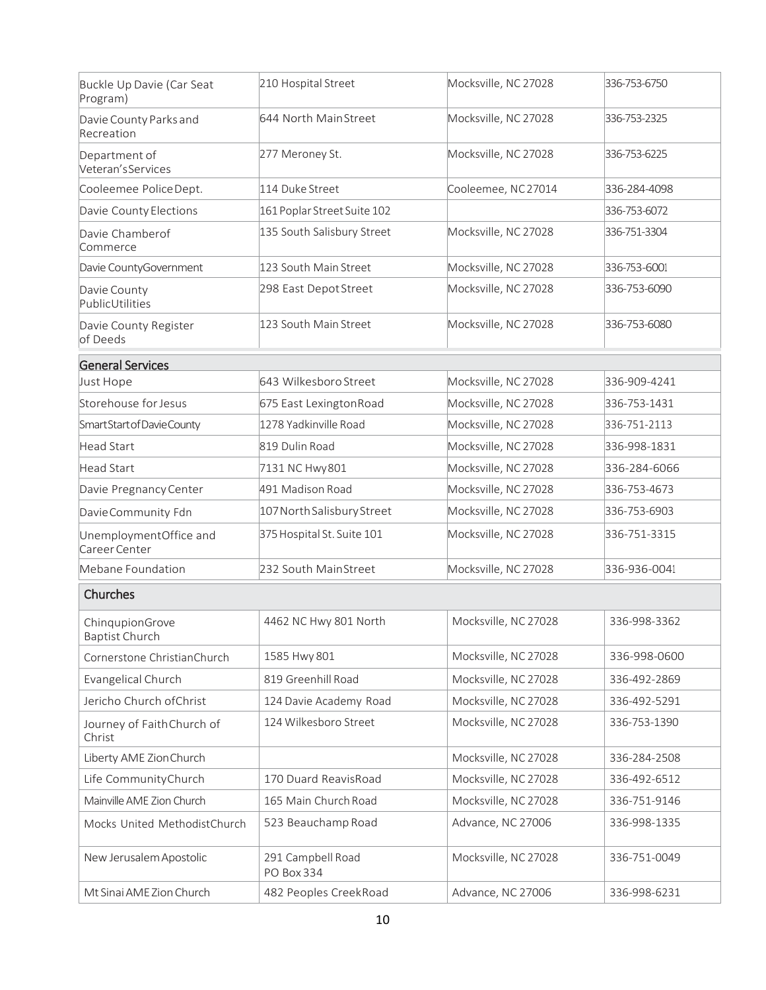| Buckle Up Davie (Car Seat<br>Program)    | 210 Hospital Street             | Mocksville, NC 27028 | 336-753-6750 |
|------------------------------------------|---------------------------------|----------------------|--------------|
| Davie County Parks and<br>Recreation     | 644 North MainStreet            | Mocksville, NC 27028 | 336-753-2325 |
| Department of<br>Veteran's Services      | 277 Meroney St.                 | Mocksville, NC 27028 | 336-753-6225 |
| Cooleemee PoliceDept.                    | 114 Duke Street                 | Cooleemee, NC27014   | 336-284-4098 |
| Davie County Elections                   | 161 Poplar Street Suite 102     |                      | 336-753-6072 |
| Davie Chamberof<br>Commerce              | 135 South Salisbury Street      | Mocksville, NC 27028 | 336-751-3304 |
| Davie CountyGovernment                   | 123 South Main Street           | Mocksville, NC 27028 | 336-753-6001 |
| Davie County<br>PublicUtilities          | 298 East Depot Street           | Mocksville, NC 27028 | 336-753-6090 |
| Davie County Register<br>of Deeds        | 123 South Main Street           | Mocksville, NC 27028 | 336-753-6080 |
| <b>General Services</b>                  |                                 |                      |              |
| Just Hope                                | 643 Wilkesboro Street           | Mocksville, NC 27028 | 336-909-4241 |
| Storehouse for Jesus                     | 675 East Lexington Road         | Mocksville, NC 27028 | 336-753-1431 |
| Smart Start of Davie County              | 1278 Yadkinville Road           | Mocksville, NC 27028 | 336-751-2113 |
| Head Start                               | 819 Dulin Road                  | Mocksville, NC 27028 | 336-998-1831 |
| Head Start                               | 7131 NC Hwy 801                 | Mocksville, NC 27028 | 336-284-6066 |
| Davie Pregnancy Center                   | 491 Madison Road                | Mocksville, NC 27028 | 336-753-4673 |
| Davie Community Fdn                      | 107 North Salisbury Street      | Mocksville, NC 27028 | 336-753-6903 |
| UnemploymentOffice and<br>Career Center  | 375 Hospital St. Suite 101      | Mocksville, NC 27028 | 336-751-3315 |
| Mebane Foundation                        | 232 South MainStreet            | Mocksville, NC 27028 | 336-936-0041 |
| Churches                                 |                                 |                      |              |
| ChinqupionGrove<br><b>Baptist Church</b> | 4462 NC Hwy 801 North           | Mocksville, NC 27028 | 336-998-3362 |
| Cornerstone ChristianChurch              | 1585 Hwy 801                    | Mocksville, NC 27028 | 336-998-0600 |
| Evangelical Church                       | 819 Greenhill Road              | Mocksville, NC 27028 | 336-492-2869 |
| Jericho Church of Christ                 | 124 Davie Academy Road          | Mocksville, NC 27028 | 336-492-5291 |
| Journey of Faith Church of<br>Christ     | 124 Wilkesboro Street           | Mocksville, NC 27028 | 336-753-1390 |
| Liberty AME Zion Church                  |                                 | Mocksville, NC 27028 | 336-284-2508 |
| Life CommunityChurch                     | 170 Duard ReavisRoad            | Mocksville, NC 27028 | 336-492-6512 |
| Mainville AME Zion Church                | 165 Main Church Road            | Mocksville, NC 27028 | 336-751-9146 |
| Mocks United MethodistChurch             | 523 Beauchamp Road              | Advance, NC 27006    | 336-998-1335 |
| New Jerusalem Apostolic                  | 291 Campbell Road<br>PO Box 334 | Mocksville, NC 27028 | 336-751-0049 |
| Mt Sinai AME Zion Church                 | 482 Peoples CreekRoad           | Advance, NC 27006    | 336-998-6231 |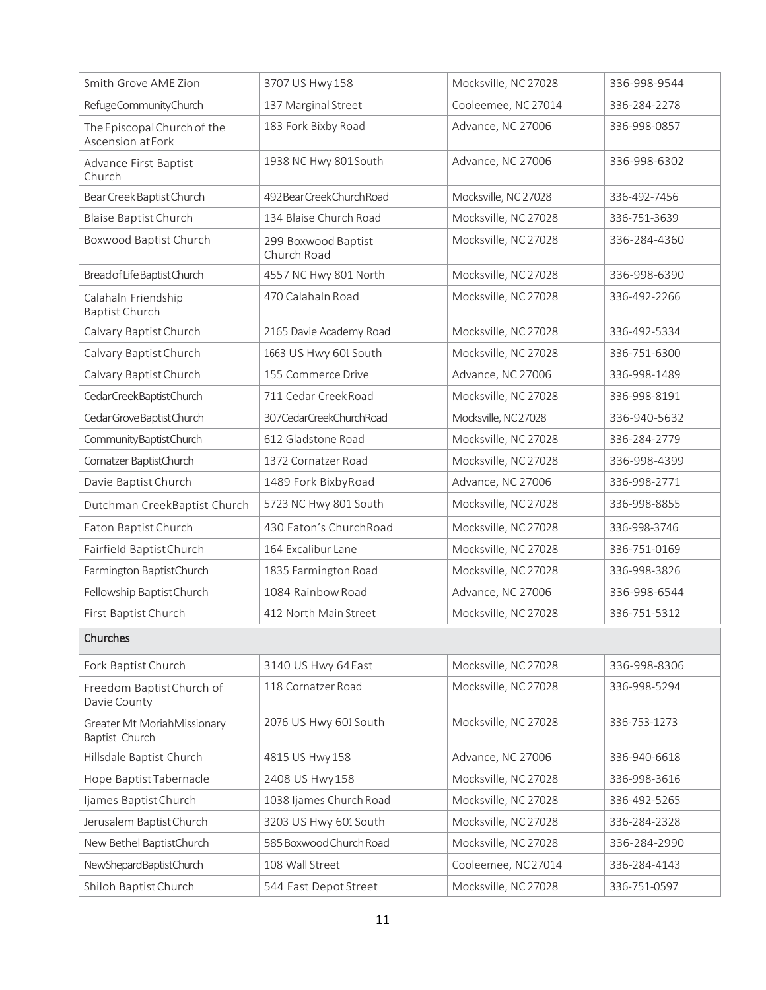| Smith Grove AME Zion                            | 3707 US Hwy 158                    | Mocksville, NC 27028 | 336-998-9544 |
|-------------------------------------------------|------------------------------------|----------------------|--------------|
| RefugeCommunityChurch                           | 137 Marginal Street                | Cooleemee, NC 27014  | 336-284-2278 |
| The Episcopal Church of the<br>Ascension atFork | 183 Fork Bixby Road                | Advance, NC 27006    | 336-998-0857 |
| Advance First Baptist<br>Church                 | 1938 NC Hwy 801 South              | Advance, NC 27006    | 336-998-6302 |
| Bear Creek Baptist Church                       | 492 Bear Creek Church Road         | Mocksville, NC 27028 | 336-492-7456 |
| <b>Blaise Baptist Church</b>                    | 134 Blaise Church Road             | Mocksville, NC 27028 | 336-751-3639 |
| Boxwood Baptist Church                          | 299 Boxwood Baptist<br>Church Road | Mocksville, NC 27028 | 336-284-4360 |
| Bread of Life Baptist Church                    | 4557 NC Hwy 801 North              | Mocksville, NC 27028 | 336-998-6390 |
| Calahaln Friendship<br><b>Baptist Church</b>    | 470 Calahaln Road                  | Mocksville, NC 27028 | 336-492-2266 |
| Calvary Baptist Church                          | 2165 Davie Academy Road            | Mocksville, NC 27028 | 336-492-5334 |
| Calvary Baptist Church                          | 1663 US Hwy 601 South              | Mocksville, NC 27028 | 336-751-6300 |
| Calvary Baptist Church                          | 155 Commerce Drive                 | Advance, NC 27006    | 336-998-1489 |
| CedarCreekBaptistChurch                         | 711 Cedar Creek Road               | Mocksville, NC 27028 | 336-998-8191 |
| Cedar Grove Baptist Church                      | 307CedarCreekChurchRoad            | Mocksville, NC27028  | 336-940-5632 |
| CommunityBaptistChurch                          | 612 Gladstone Road                 | Mocksville, NC 27028 | 336-284-2779 |
| Cornatzer BaptistChurch                         | 1372 Cornatzer Road                | Mocksville, NC 27028 | 336-998-4399 |
| Davie Baptist Church                            | 1489 Fork BixbyRoad                | Advance, NC 27006    | 336-998-2771 |
| Dutchman CreekBaptist Church                    | 5723 NC Hwy 801 South              | Mocksville, NC 27028 | 336-998-8855 |
| Eaton Baptist Church                            | 430 Eaton's ChurchRoad             | Mocksville, NC 27028 | 336-998-3746 |
| Fairfield BaptistChurch                         | 164 Excalibur Lane                 | Mocksville, NC 27028 | 336-751-0169 |
| Farmington BaptistChurch                        | 1835 Farmington Road               | Mocksville, NC 27028 | 336-998-3826 |
| Fellowship BaptistChurch                        | 1084 Rainbow Road                  | Advance, NC 27006    | 336-998-6544 |
| First Baptist Church                            | 412 North Main Street              | Mocksville, NC 27028 | 336-751-5312 |
| Churches                                        |                                    |                      |              |
| Fork Baptist Church                             | 3140 US Hwy 64East                 | Mocksville, NC 27028 | 336-998-8306 |
| Freedom BaptistChurch of<br>Davie County        | 118 Cornatzer Road                 | Mocksville, NC 27028 | 336-998-5294 |
| Greater Mt MoriahMissionary<br>Baptist Church   | 2076 US Hwy 601 South              | Mocksville, NC 27028 | 336-753-1273 |
| Hillsdale Baptist Church                        | 4815 US Hwy 158                    | Advance, NC 27006    | 336-940-6618 |
| Hope Baptist Tabernacle                         | 2408 US Hwy 158                    | Mocksville, NC 27028 | 336-998-3616 |
| Ijames Baptist Church                           | 1038 Ijames Church Road            | Mocksville, NC 27028 | 336-492-5265 |
| Jerusalem Baptist Church                        | 3203 US Hwy 601 South              | Mocksville, NC 27028 | 336-284-2328 |
| New Bethel BaptistChurch                        | 585 Boxwood Church Road            | Mocksville, NC 27028 | 336-284-2990 |
| NewShepardBaptistChurch                         | 108 Wall Street                    | Cooleemee, NC 27014  | 336-284-4143 |
| Shiloh Baptist Church                           | 544 East Depot Street              | Mocksville, NC 27028 | 336-751-0597 |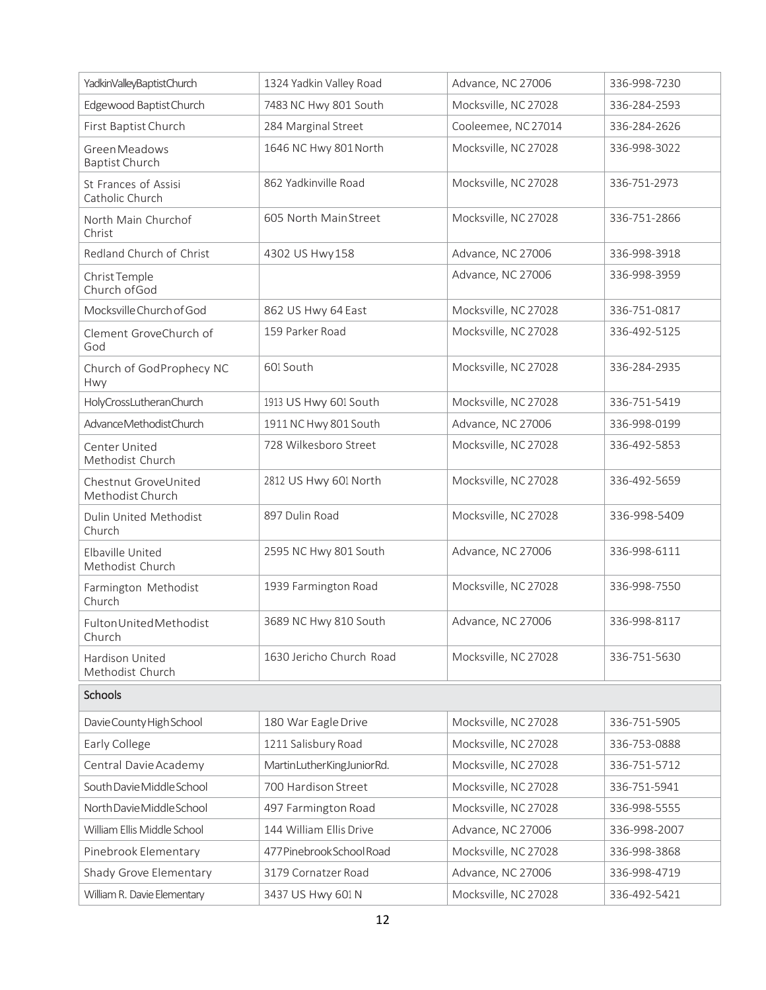| YadkinValleyBaptistChurch                     | 1324 Yadkin Valley Road   | Advance, NC 27006    | 336-998-7230 |
|-----------------------------------------------|---------------------------|----------------------|--------------|
| Edgewood Baptist Church                       | 7483 NC Hwy 801 South     | Mocksville, NC 27028 | 336-284-2593 |
| First Baptist Church                          | 284 Marginal Street       | Cooleemee, NC 27014  | 336-284-2626 |
| <b>Green Meadows</b><br><b>Baptist Church</b> | 1646 NC Hwy 801 North     | Mocksville, NC 27028 | 336-998-3022 |
| St Frances of Assisi<br>Catholic Church       | 862 Yadkinville Road      | Mocksville, NC 27028 | 336-751-2973 |
| North Main Churchof<br>Christ                 | 605 North MainStreet      | Mocksville, NC 27028 | 336-751-2866 |
| Redland Church of Christ                      | 4302 US Hwy 158           | Advance, NC 27006    | 336-998-3918 |
| Christ Temple<br>Church of God                |                           | Advance, NC 27006    | 336-998-3959 |
| Mocksville Church of God                      | 862 US Hwy 64 East        | Mocksville, NC 27028 | 336-751-0817 |
| Clement GroveChurch of<br>God                 | 159 Parker Road           | Mocksville, NC 27028 | 336-492-5125 |
| Church of GodProphecy NC<br>Hwy               | 601 South                 | Mocksville, NC 27028 | 336-284-2935 |
| HolyCrossLutheranChurch                       | 1913 US Hwy 601 South     | Mocksville, NC 27028 | 336-751-5419 |
| Advance Methodist Church                      | 1911 NC Hwy 801 South     | Advance, NC 27006    | 336-998-0199 |
| Center United<br>Methodist Church             | 728 Wilkesboro Street     | Mocksville, NC 27028 | 336-492-5853 |
| Chestnut GroveUnited<br>Methodist Church      | 2812 US Hwy 601 North     | Mocksville, NC 27028 | 336-492-5659 |
| Dulin United Methodist<br>Church              | 897 Dulin Road            | Mocksville, NC 27028 | 336-998-5409 |
| Elbaville United<br>Methodist Church          | 2595 NC Hwy 801 South     | Advance, NC 27006    | 336-998-6111 |
| Farmington Methodist<br>Church                | 1939 Farmington Road      | Mocksville, NC 27028 | 336-998-7550 |
| Fulton United Methodist<br>Church             | 3689 NC Hwy 810 South     | Advance, NC 27006    | 336-998-8117 |
| Hardison United<br>Methodist Church           | 1630 Jericho Church Road  | Mocksville, NC 27028 | 336-751-5630 |
| Schools                                       |                           |                      |              |
| Davie County High School                      | 180 War Eagle Drive       | Mocksville, NC 27028 | 336-751-5905 |
| Early College                                 | 1211 Salisbury Road       | Mocksville, NC 27028 | 336-753-0888 |
| Central Davie Academy                         | MartinLutherKingJuniorRd. | Mocksville, NC 27028 | 336-751-5712 |
| South Davie Middle School                     | 700 Hardison Street       | Mocksville, NC 27028 | 336-751-5941 |
| North Davie Middle School                     | 497 Farmington Road       | Mocksville, NC 27028 | 336-998-5555 |
| William Ellis Middle School                   | 144 William Ellis Drive   | Advance, NC 27006    | 336-998-2007 |
| Pinebrook Elementary                          | 477 Pinebrook School Road | Mocksville, NC 27028 | 336-998-3868 |
| Shady Grove Elementary                        | 3179 Cornatzer Road       | Advance, NC 27006    | 336-998-4719 |
| William R. Davie Elementary                   | 3437 US Hwy 601 N         | Mocksville, NC 27028 | 336-492-5421 |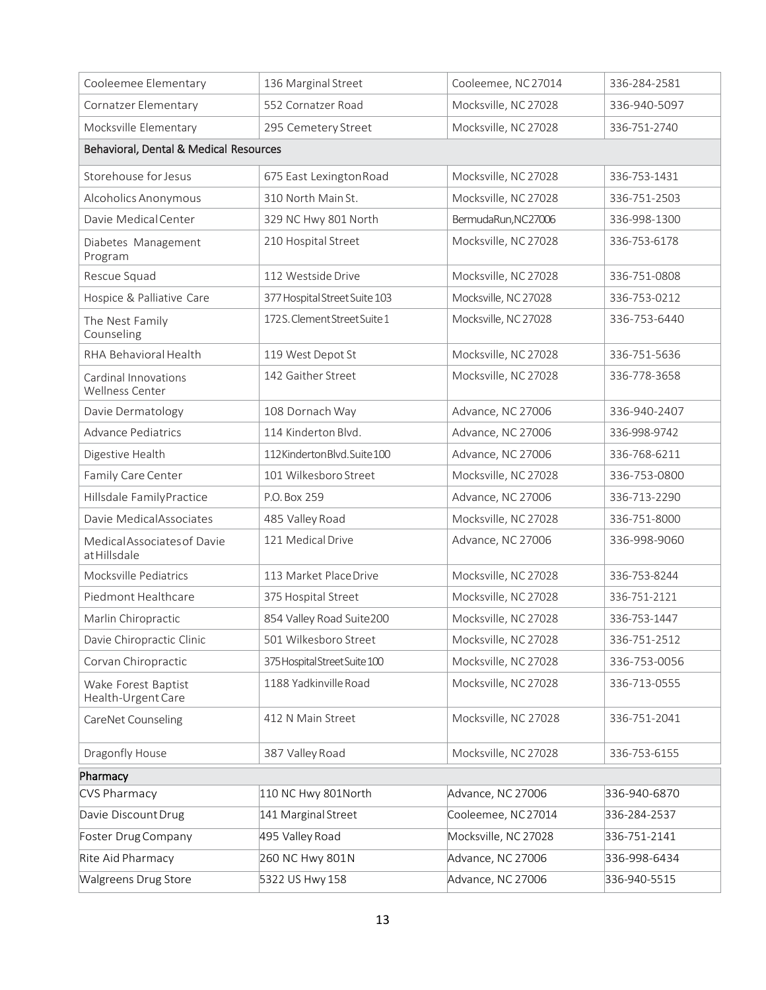| Cooleemee Elementary                           | 136 Marginal Street           | Cooleemee, NC 27014  | 336-284-2581 |
|------------------------------------------------|-------------------------------|----------------------|--------------|
| Cornatzer Elementary                           | 552 Cornatzer Road            | Mocksville, NC 27028 | 336-940-5097 |
| Mocksville Elementary                          | 295 Cemetery Street           | Mocksville, NC 27028 | 336-751-2740 |
| Behavioral, Dental & Medical Resources         |                               |                      |              |
| Storehouse for Jesus                           | 675 East Lexington Road       | Mocksville, NC 27028 | 336-753-1431 |
| Alcoholics Anonymous                           | 310 North Main St.            | Mocksville, NC 27028 | 336-751-2503 |
| Davie Medical Center                           | 329 NC Hwy 801 North          | BermudaRun, NC27006  | 336-998-1300 |
| Diabetes Management<br>Program                 | 210 Hospital Street           | Mocksville, NC 27028 | 336-753-6178 |
| Rescue Squad                                   | 112 Westside Drive            | Mocksville, NC 27028 | 336-751-0808 |
| Hospice & Palliative Care                      | 377 Hospital Street Suite 103 | Mocksville, NC 27028 | 336-753-0212 |
| The Nest Family<br>Counseling                  | 172S. Clement Street Suite 1  | Mocksville, NC 27028 | 336-753-6440 |
| RHA Behavioral Health                          | 119 West Depot St             | Mocksville, NC 27028 | 336-751-5636 |
| Cardinal Innovations<br><b>Wellness Center</b> | 142 Gaither Street            | Mocksville, NC 27028 | 336-778-3658 |
| Davie Dermatology                              | 108 Dornach Way               | Advance, NC 27006    | 336-940-2407 |
| <b>Advance Pediatrics</b>                      | 114 Kinderton Blvd.           | Advance, NC 27006    | 336-998-9742 |
| Digestive Health                               | 112KindertonBlvd.Suite100     | Advance, NC 27006    | 336-768-6211 |
| Family Care Center                             | 101 Wilkesboro Street         | Mocksville, NC 27028 | 336-753-0800 |
| Hillsdale FamilyPractice                       | P.O. Box 259                  | Advance, NC 27006    | 336-713-2290 |
| Davie MedicalAssociates                        | 485 Valley Road               | Mocksville, NC 27028 | 336-751-8000 |
| Medical Associates of Davie<br>atHillsdale     | 121 Medical Drive             | Advance, NC 27006    | 336-998-9060 |
| Mocksville Pediatrics                          | 113 Market PlaceDrive         | Mocksville, NC 27028 | 336-753-8244 |
| Piedmont Healthcare                            | 375 Hospital Street           | Mocksville, NC 27028 | 336-751-2121 |
| Marlin Chiropractic                            | 854 Valley Road Suite200      | Mocksville, NC 27028 | 336-753-1447 |
| Davie Chiropractic Clinic                      | 501 Wilkesboro Street         | Mocksville, NC 27028 | 336-751-2512 |
| Corvan Chiropractic                            | 375 Hospital Street Suite 100 | Mocksville, NC 27028 | 336-753-0056 |
| Wake Forest Baptist<br>Health-Urgent Care      | 1188 Yadkinville Road         | Mocksville, NC 27028 | 336-713-0555 |
| CareNet Counseling                             | 412 N Main Street             | Mocksville, NC 27028 | 336-751-2041 |
| Dragonfly House                                | 387 Valley Road               | Mocksville, NC 27028 | 336-753-6155 |
| Pharmacy                                       |                               |                      |              |
| CVS Pharmacy                                   | 110 NC Hwy 801 North          | Advance, NC 27006    | 336-940-6870 |
| Davie Discount Drug                            | 141 Marginal Street           | Cooleemee, NC27014   | 336-284-2537 |
| Foster Drug Company                            | 495 Valley Road               | Mocksville, NC 27028 | 336-751-2141 |
| Rite Aid Pharmacy                              | 260 NC Hwy 801N               | Advance, NC 27006    | 336-998-6434 |
| Walgreens Drug Store                           | 5322 US Hwy 158               | Advance, NC 27006    | 336-940-5515 |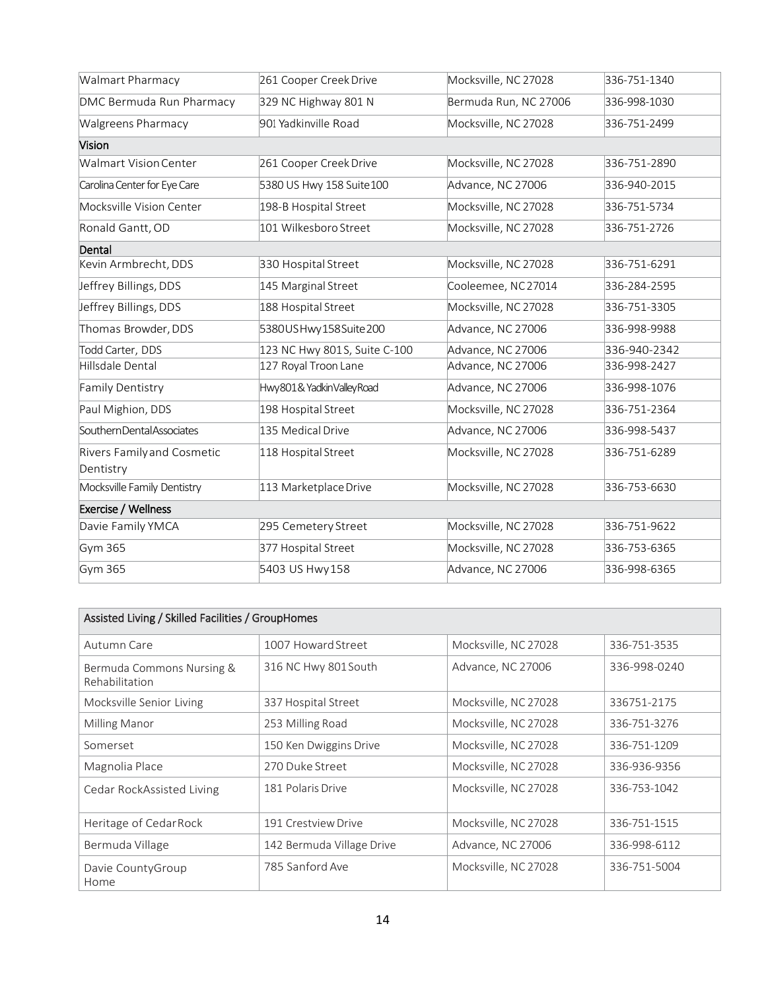| Walmart Pharmacy             | 261 Cooper Creek Drive       | Mocksville, NC 27028  | 336-751-1340 |
|------------------------------|------------------------------|-----------------------|--------------|
| DMC Bermuda Run Pharmacy     | 329 NC Highway 801 N         | Bermuda Run, NC 27006 | 336-998-1030 |
| <b>Walgreens Pharmacy</b>    | 901 Yadkinville Road         | Mocksville, NC 27028  | 336-751-2499 |
| Vision                       |                              |                       |              |
| <b>Walmart Vision Center</b> | 261 Cooper Creek Drive       | Mocksville, NC 27028  | 336-751-2890 |
| Carolina Center for Eye Care | 5380 US Hwy 158 Suite 100    | Advance, NC 27006     | 336-940-2015 |
| Mocksville Vision Center     | 198-B Hospital Street        | Mocksville, NC 27028  | 336-751-5734 |
| Ronald Gantt, OD             | 101 Wilkesboro Street        | Mocksville, NC 27028  | 336-751-2726 |
| Dental                       |                              |                       |              |
| Kevin Armbrecht, DDS         | 330 Hospital Street          | Mocksville, NC 27028  | 336-751-6291 |
| Jeffrey Billings, DDS        | 145 Marginal Street          | Cooleemee, NC27014    | 336-284-2595 |
| Jeffrey Billings, DDS        | 188 Hospital Street          | Mocksville, NC 27028  | 336-751-3305 |
| Thomas Browder, DDS          | 5380USHwy158Suite200         | Advance, NC 27006     | 336-998-9988 |
| Todd Carter, DDS             | 123 NC Hwy 801S, Suite C-100 | Advance, NC 27006     | 336-940-2342 |
| Hillsdale Dental             | 127 Royal Troon Lane         | Advance, NC 27006     | 336-998-2427 |
| Family Dentistry             | Hwy801& YadkinValleyRoad     | Advance, NC 27006     | 336-998-1076 |
| Paul Mighion, DDS            | 198 Hospital Street          | Mocksville, NC 27028  | 336-751-2364 |
| SouthernDentalAssociates     | 135 Medical Drive            | Advance, NC 27006     | 336-998-5437 |
| Rivers Family and Cosmetic   | 118 Hospital Street          | Mocksville, NC 27028  | 336-751-6289 |
| Dentistry                    |                              |                       |              |
| Mocksville Family Dentistry  | 113 Marketplace Drive        | Mocksville, NC 27028  | 336-753-6630 |
| Exercise / Wellness          |                              |                       |              |
| Davie Family YMCA            | 295 Cemetery Street          | Mocksville, NC 27028  | 336-751-9622 |
| Gym 365                      | 377 Hospital Street          | Mocksville, NC 27028  | 336-753-6365 |
| Gym 365                      | 5403 US Hwy 158              | Advance, NC 27006     | 336-998-6365 |

| Assisted Living / Skilled Facilities / GroupHomes |                           |                      |              |
|---------------------------------------------------|---------------------------|----------------------|--------------|
| Autumn Care                                       | 1007 Howard Street        | Mocksville, NC 27028 | 336-751-3535 |
| Bermuda Commons Nursing &<br>Rehabilitation       | 316 NC Hwy 801 South      | Advance, NC 27006    | 336-998-0240 |
| Mocksville Senior Living                          | 337 Hospital Street       | Mocksville, NC 27028 | 336751-2175  |
| Milling Manor                                     | 253 Milling Road          | Mocksville, NC 27028 | 336-751-3276 |
| Somerset                                          | 150 Ken Dwiggins Drive    | Mocksville, NC 27028 | 336-751-1209 |
| Magnolia Place                                    | 270 Duke Street           | Mocksville, NC 27028 | 336-936-9356 |
| Cedar RockAssisted Living                         | 181 Polaris Drive         | Mocksville, NC 27028 | 336-753-1042 |
| Heritage of Cedar Rock                            | 191 Crestview Drive       | Mocksville, NC 27028 | 336-751-1515 |
| Bermuda Village                                   | 142 Bermuda Village Drive | Advance, NC 27006    | 336-998-6112 |
| Davie CountyGroup<br>Home                         | 785 Sanford Ave           | Mocksville, NC 27028 | 336-751-5004 |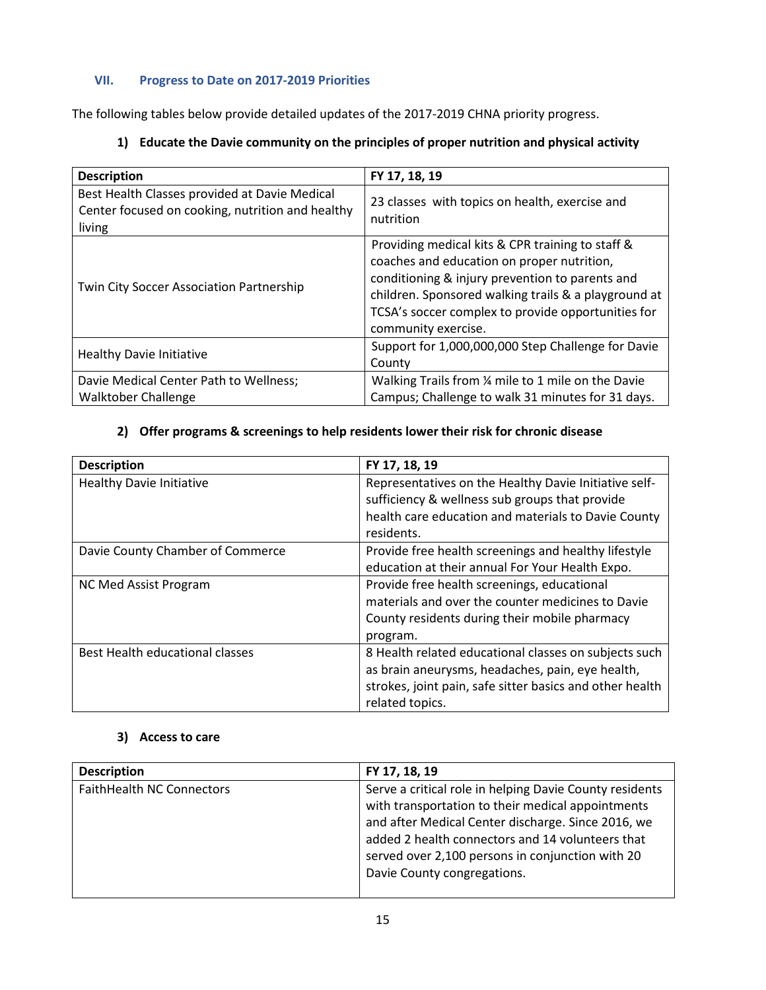## **VII. Progress to Date on 2017-2019 Priorities**

The following tables below provide detailed updates of the 2017-2019 CHNA priority progress.

| <b>Description</b>                                                                                          | FY 17, 18, 19                                                                                                                                                                                                                                                                          |
|-------------------------------------------------------------------------------------------------------------|----------------------------------------------------------------------------------------------------------------------------------------------------------------------------------------------------------------------------------------------------------------------------------------|
| Best Health Classes provided at Davie Medical<br>Center focused on cooking, nutrition and healthy<br>living | 23 classes with topics on health, exercise and<br>nutrition                                                                                                                                                                                                                            |
| Twin City Soccer Association Partnership                                                                    | Providing medical kits & CPR training to staff &<br>coaches and education on proper nutrition,<br>conditioning & injury prevention to parents and<br>children. Sponsored walking trails & a playground at<br>TCSA's soccer complex to provide opportunities for<br>community exercise. |
| <b>Healthy Davie Initiative</b>                                                                             | Support for 1,000,000,000 Step Challenge for Davie<br>County                                                                                                                                                                                                                           |
| Davie Medical Center Path to Wellness;<br><b>Walktober Challenge</b>                                        | Walking Trails from 1/4 mile to 1 mile on the Davie<br>Campus; Challenge to walk 31 minutes for 31 days.                                                                                                                                                                               |

# **1) Educate the Davie community on the principles of proper nutrition and physical activity**

# **2) Offer programs & screenings to help residents lower their risk for chronic disease**

| <b>Description</b>               | FY 17, 18, 19                                                                                                                                                                            |
|----------------------------------|------------------------------------------------------------------------------------------------------------------------------------------------------------------------------------------|
| <b>Healthy Davie Initiative</b>  | Representatives on the Healthy Davie Initiative self-<br>sufficiency & wellness sub groups that provide<br>health care education and materials to Davie County<br>residents.             |
| Davie County Chamber of Commerce | Provide free health screenings and healthy lifestyle<br>education at their annual For Your Health Expo.                                                                                  |
| NC Med Assist Program            | Provide free health screenings, educational<br>materials and over the counter medicines to Davie<br>County residents during their mobile pharmacy<br>program.                            |
| Best Health educational classes  | 8 Health related educational classes on subjects such<br>as brain aneurysms, headaches, pain, eye health,<br>strokes, joint pain, safe sitter basics and other health<br>related topics. |

## **3) Access to care**

| <b>Description</b>               | FY 17, 18, 19                                                                                                                                                                                                                                                                                             |
|----------------------------------|-----------------------------------------------------------------------------------------------------------------------------------------------------------------------------------------------------------------------------------------------------------------------------------------------------------|
| <b>FaithHealth NC Connectors</b> | Serve a critical role in helping Davie County residents<br>with transportation to their medical appointments<br>and after Medical Center discharge. Since 2016, we<br>added 2 health connectors and 14 volunteers that<br>served over 2,100 persons in conjunction with 20<br>Davie County congregations. |